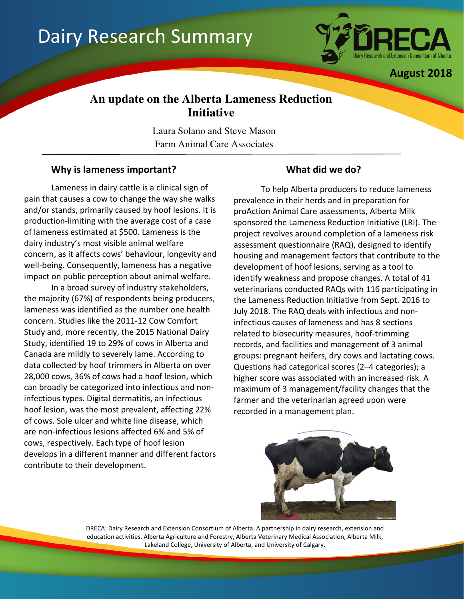# Dairy Research Summary



August 2018

# **An update on the Alberta Lameness Reduction Initiative**

Laura Solano and Steve Mason Farm Animal Care Associates

# Why is lameness important? What did we do?

Lameness in dairy cattle is a clinical sign of pain that causes a cow to change the way she walks and/or stands, primarily caused by hoof lesions. It is production-limiting with the average cost of a case of lameness estimated at \$500. Lameness is the dairy industry's most visible animal welfare concern, as it affects cows' behaviour, longevity and well-being. Consequently, lameness has a negative impact on public perception about animal welfare.

In a broad survey of industry stakeholders, the majority (67%) of respondents being producers, lameness was identified as the number one health concern. Studies like the 2011-12 Cow Comfort Study and, more recently, the 2015 National Dairy Study, identified 19 to 29% of cows in Alberta and Canada are mildly to severely lame. According to data collected by hoof trimmers in Alberta on over 28,000 cows, 36% of cows had a hoof lesion, which can broadly be categorized into infectious and noninfectious types. Digital dermatitis, an infectious hoof lesion, was the most prevalent, affecting 22% of cows. Sole ulcer and white line disease, which are non-infectious lesions affected 6% and 5% of cows, respectively. Each type of hoof lesion develops in a different manner and different factors contribute to their development.

To help Alberta producers to reduce lameness prevalence in their herds and in preparation for proAction Animal Care assessments, Alberta Milk sponsored the Lameness Reduction Initiative (LRI). The project revolves around completion of a lameness risk assessment questionnaire (RAQ), designed to identify housing and management factors that contribute to the development of hoof lesions, serving as a tool to identify weakness and propose changes. A total of 41 veterinarians conducted RAQs with 116 participating in the Lameness Reduction Initiative from Sept. 2016 to July 2018. The RAQ deals with infectious and noninfectious causes of lameness and has 8 sections related to biosecurity measures, hoof-trimming records, and facilities and management of 3 animal groups: pregnant heifers, dry cows and lactating cows. Questions had categorical scores (2–4 categories); a higher score was associated with an increased risk. A maximum of 3 management/facility changes that the farmer and the veterinarian agreed upon were recorded in a management plan.



DRECA: Dairy Research and Extension Consortium of Alberta. A partnership in dairy research, extension and education activities. Alberta Agriculture and Forestry, Alberta Veterinary Medical Association, Alberta Milk, Lakeland College, University of Alberta, and University of Calgary.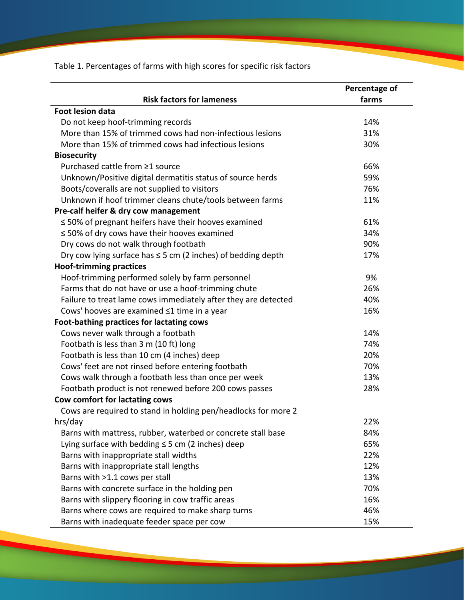Table 1. Percentages of farms with high scores for specific risk factors

|                                                                   | Percentage of |
|-------------------------------------------------------------------|---------------|
| <b>Risk factors for lameness</b>                                  | farms         |
| <b>Foot lesion data</b>                                           |               |
| Do not keep hoof-trimming records                                 | 14%           |
| More than 15% of trimmed cows had non-infectious lesions          | 31%           |
| More than 15% of trimmed cows had infectious lesions              | 30%           |
| <b>Biosecurity</b>                                                |               |
| Purchased cattle from ≥1 source                                   | 66%           |
| Unknown/Positive digital dermatitis status of source herds        | 59%           |
| Boots/coveralls are not supplied to visitors                      | 76%           |
| Unknown if hoof trimmer cleans chute/tools between farms          | 11%           |
| Pre-calf heifer & dry cow management                              |               |
| ≤ 50% of pregnant heifers have their hooves examined              | 61%           |
| $\leq$ 50% of dry cows have their hooves examined                 | 34%           |
| Dry cows do not walk through footbath                             | 90%           |
| Dry cow lying surface has $\leq$ 5 cm (2 inches) of bedding depth | 17%           |
| <b>Hoof-trimming practices</b>                                    |               |
| Hoof-trimming performed solely by farm personnel                  | 9%            |
| Farms that do not have or use a hoof-trimming chute               | 26%           |
| Failure to treat lame cows immediately after they are detected    | 40%           |
| Cows' hooves are examined ≤1 time in a year                       | 16%           |
| Foot-bathing practices for lactating cows                         |               |
| Cows never walk through a footbath                                | 14%           |
| Footbath is less than 3 m (10 ft) long                            | 74%           |
| Footbath is less than 10 cm (4 inches) deep                       | 20%           |
| Cows' feet are not rinsed before entering footbath                | 70%           |
| Cows walk through a footbath less than once per week              | 13%           |
| Footbath product is not renewed before 200 cows passes            | 28%           |
| Cow comfort for lactating cows                                    |               |
| Cows are required to stand in holding pen/headlocks for more 2    |               |
| hrs/day                                                           | 22%           |
| Barns with mattress, rubber, waterbed or concrete stall base      | 84%           |
| Lying surface with bedding $\leq$ 5 cm (2 inches) deep            | 65%           |
| Barns with inappropriate stall widths                             | 22%           |
| Barns with inappropriate stall lengths                            | 12%           |
| Barns with >1.1 cows per stall                                    | 13%           |
| Barns with concrete surface in the holding pen                    | 70%           |
| Barns with slippery flooring in cow traffic areas                 | 16%           |
| Barns where cows are required to make sharp turns                 | 46%           |
| Barns with inadequate feeder space per cow                        | 15%           |

<u>and</u> a